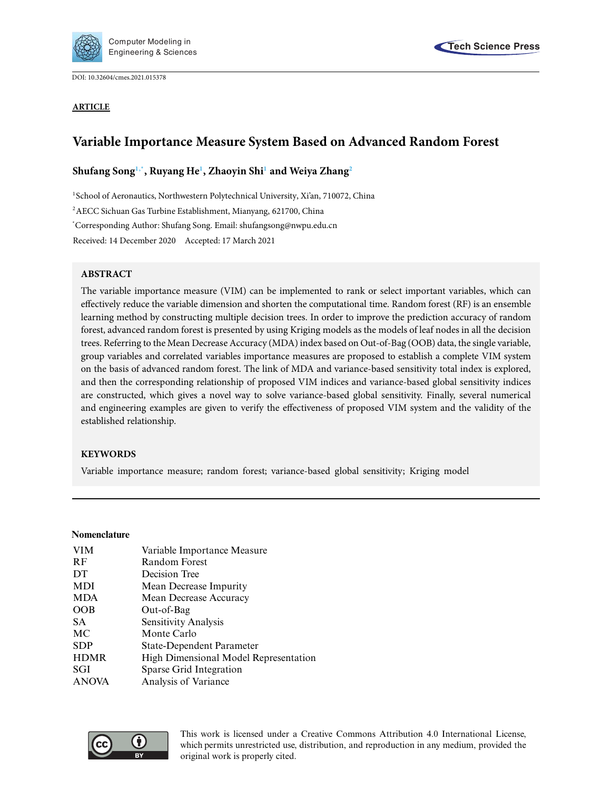

DOI: [10.32604/cmes.2021.015378](http://dx.doi.org/10.32604/cmes.2021.015378)





# **Variable Importance Measure System Based on Advanced Random Forest**

# **Shufang Son[g1](#page-0-0)[,\\*,](#page-0-1) Ruyang H[e1](#page-0-0) , Zhaoyin Sh[i1](#page-0-0) and Weiya Zhan[g2](#page-0-2)**

<span id="page-0-0"></span><sup>1</sup>School of Aeronautics, Northwestern Polytechnical University, Xi'an, 710072, China

<span id="page-0-2"></span>2AECC Sichuan Gas Turbine Establishment, Mianyang, 621700, China

<span id="page-0-1"></span>\* Corresponding Author: Shufang Song. Email: shufangsong@nwpu.edu.cn

Received: 14 December 2020 Accepted: 17 March 2021

# **ABSTRACT**

The variable importance measure (VIM) can be implemented to rank or select important variables, which can effectively reduce the variable dimension and shorten the computational time. Random forest (RF) is an ensemble learning method by constructing multiple decision trees. In order to improve the prediction accuracy of random forest, advanced random forest is presented by using Kriging models as the models of leaf nodes in all the decision trees. Referring to the Mean Decrease Accuracy (MDA) index based on Out-of-Bag (OOB) data, the single variable, group variables and correlated variables importance measures are proposed to establish a complete VIM system on the basis of advanced random forest. The link of MDA and variance-based sensitivity total index is explored, and then the corresponding relationship of proposed VIM indices and variance-based global sensitivity indices are constructed, which gives a novel way to solve variance-based global sensitivity. Finally, several numerical and engineering examples are given to verify the effectiveness of proposed VIM system and the validity of the established relationship.

# **KEYWORDS**

Variable importance measure; random forest; variance-based global sensitivity; Kriging model

# **Nomenclature**

| <b>VIM</b>   | Variable Importance Measure           |
|--------------|---------------------------------------|
| <b>RF</b>    | <b>Random Forest</b>                  |
| DT           | Decision Tree                         |
| MDI          | Mean Decrease Impurity                |
| <b>MDA</b>   | Mean Decrease Accuracy                |
| OOB          | Out-of-Bag                            |
| SA.          | Sensitivity Analysis                  |
| MC           | Monte Carlo                           |
| <b>SDP</b>   | <b>State-Dependent Parameter</b>      |
| <b>HDMR</b>  | High Dimensional Model Representation |
| SGI          | Sparse Grid Integration               |
| <b>ANOVA</b> | Analysis of Variance                  |
|              |                                       |



This work is licensed under a Creative Commons Attribution 4.0 International License, which permits unrestricted use, distribution, and reproduction in any medium, provided the original work is properly cited.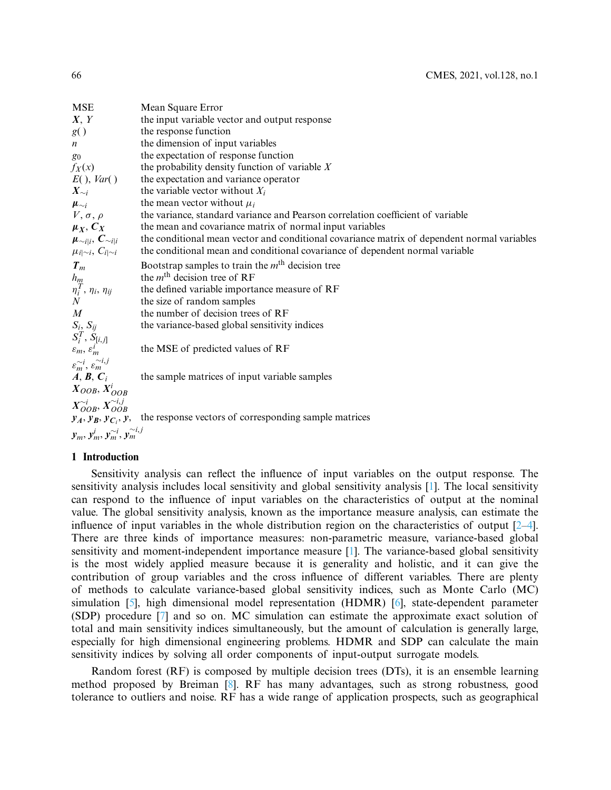| <b>MSE</b>                                           | Mean Square Error                                                                           |
|------------------------------------------------------|---------------------------------------------------------------------------------------------|
| X, Y                                                 | the input variable vector and output response                                               |
| g()                                                  | the response function                                                                       |
| $\mathfrak{n}$                                       | the dimension of input variables                                                            |
| $g_0$                                                | the expectation of response function                                                        |
| $f_X(x)$                                             | the probability density function of variable $X$                                            |
| $E($ , Var()                                         | the expectation and variance operator                                                       |
| $X_{\sim i}$                                         | the variable vector without $X_i$                                                           |
| $\boldsymbol{\mu}_{\sim i}$                          | the mean vector without $\mu_i$                                                             |
| $V, \sigma, \rho$                                    | the variance, standard variance and Pearson correlation coefficient of variable             |
| $\mu_X, C_X$                                         | the mean and covariance matrix of normal input variables                                    |
| $\mu_{\sim i i}, C_{\sim i i}$                       | the conditional mean vector and conditional covariance matrix of dependent normal variables |
| $\mu_{i \sim i}, C_{i \sim i}$                       | the conditional mean and conditional covariance of dependent normal variable                |
| $T_m$                                                | Bootstrap samples to train the $mth$ decision tree                                          |
| $\frac{h_m}{\eta_i^T}$ , $\eta_i$ , $\eta_{ij}$<br>N | the $mth$ decision tree of RF                                                               |
|                                                      | the defined variable importance measure of RF                                               |
|                                                      | the size of random samples                                                                  |
| $\boldsymbol{M}$                                     | the number of decision trees of RF                                                          |
| $S_i, S_{ij}$                                        | the variance-based global sensitivity indices                                               |
| $S_i^T$ , $S_{[i,j]}$                                |                                                                                             |
| $\varepsilon_m, \varepsilon_m^i$                     | the MSE of predicted values of RF                                                           |
| $\varepsilon_m^{\sim i}, \varepsilon_m^{\sim i,j}$   |                                                                                             |
| $A, B, C_i$                                          | the sample matrices of input variable samples                                               |
| $X_{OOB}, X_{OOB}^i$                                 |                                                                                             |
| $X_{OOB}^{\sim i}, X_{OOB}^{\sim i,j}$               |                                                                                             |
| $y_A$ , $y_B$ , $y_{C_i}$ , $y$ ,                    | the response vectors of corresponding sample matrices                                       |
| $y_m, y_m^i, y_m^{\sim i}, y_m^{\sim i,j}$           |                                                                                             |

# **1 Introduction**

Sensitivity analysis can reflect the influence of input variables on the output response. The sensitivity analysis includes local sensitivity and global sensitivity analysis [\[1](#page-19-0)]. The local sensitivity can respond to the influence of input variables on the characteristics of output at the nominal value. The global sensitivity analysis, known as the importance measure analysis, can estimate the influence of input variables in the whole distribution region on the characteristics of output [\[2](#page-19-1)[–4\]](#page-19-2). There are three kinds of importance measures: non-parametric measure, variance-based global sensitivity and moment-independent importance measure [\[1](#page-19-0)]. The variance-based global sensitivity is the most widely applied measure because it is generality and holistic, and it can give the contribution of group variables and the cross influence of different variables. There are plenty of methods to calculate variance-based global sensitivity indices, such as Monte Carlo (MC) simulation [\[5\]](#page-19-3), high dimensional model representation (HDMR) [\[6](#page-19-4)], state-dependent parameter (SDP) procedure [\[7\]](#page-19-5) and so on. MC simulation can estimate the approximate exact solution of total and main sensitivity indices simultaneously, but the amount of calculation is generally large, especially for high dimensional engineering problems. HDMR and SDP can calculate the main sensitivity indices by solving all order components of input-output surrogate models.

Random forest (RF) is composed by multiple decision trees (DTs), it is an ensemble learning method proposed by Breiman [\[8\]](#page-19-6). RF has many advantages, such as strong robustness, good tolerance to outliers and noise. RF has a wide range of application prospects, such as geographical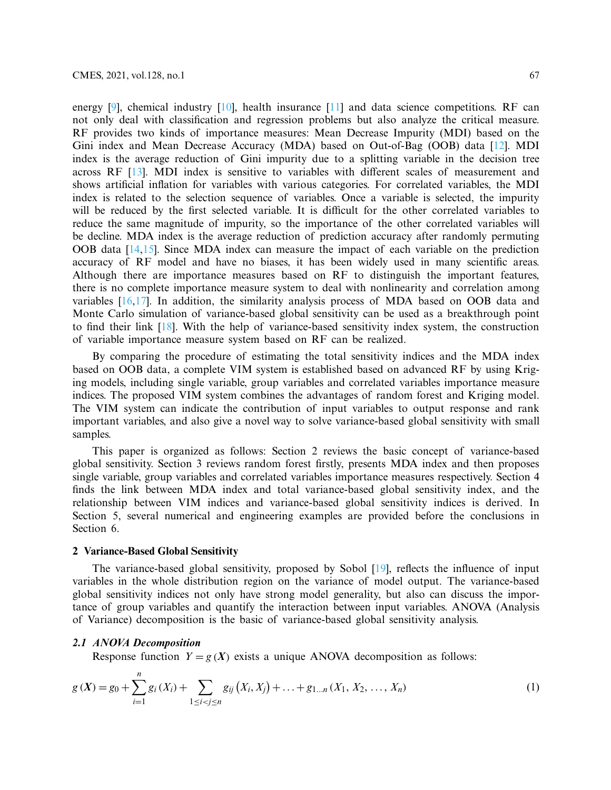energy  $[9]$ , chemical industry  $[10]$  $[10]$ , health insurance  $[11]$  $[11]$  and data science competitions. RF can not only deal with classification and regression problems but also analyze the critical measure. RF provides two kinds of importance measures: Mean Decrease Impurity (MDI) based on the Gini index and Mean Decrease Accuracy (MDA) based on Out-of-Bag (OOB) data [\[12\]](#page-19-10). MDI index is the average reduction of Gini impurity due to a splitting variable in the decision tree across RF [\[13\]](#page-19-11). MDI index is sensitive to variables with different scales of measurement and shows artificial inflation for variables with various categories. For correlated variables, the MDI index is related to the selection sequence of variables. Once a variable is selected, the impurity will be reduced by the first selected variable. It is difficult for the other correlated variables to reduce the same magnitude of impurity, so the importance of the other correlated variables will be decline. MDA index is the average reduction of prediction accuracy after randomly permuting OOB data [\[14](#page-19-12)[,15](#page-19-13)]. Since MDA index can measure the impact of each variable on the prediction accuracy of RF model and have no biases, it has been widely used in many scientific areas. Although there are importance measures based on RF to distinguish the important features, there is no complete importance measure system to deal with nonlinearity and correlation among variables [\[16](#page-19-14)[,17\]](#page-19-15). In addition, the similarity analysis process of MDA based on OOB data and Monte Carlo simulation of variance-based global sensitivity can be used as a breakthrough point to find their link [\[18\]](#page-19-16). With the help of variance-based sensitivity index system, the construction of variable importance measure system based on RF can be realized.

By comparing the procedure of estimating the total sensitivity indices and the MDA index based on OOB data, a complete VIM system is established based on advanced RF by using Kriging models, including single variable, group variables and correlated variables importance measure indices. The proposed VIM system combines the advantages of random forest and Kriging model. The VIM system can indicate the contribution of input variables to output response and rank important variables, and also give a novel way to solve variance-based global sensitivity with small samples.

This paper is organized as follows: Section 2 reviews the basic concept of variance-based global sensitivity. Section 3 reviews random forest firstly, presents MDA index and then proposes single variable, group variables and correlated variables importance measures respectively. Section 4 finds the link between MDA index and total variance-based global sensitivity index, and the relationship between VIM indices and variance-based global sensitivity indices is derived. In Section 5, several numerical and engineering examples are provided before the conclusions in Section 6.

# **2 Variance-Based Global Sensitivity**

The variance-based global sensitivity, proposed by Sobol [\[19\]](#page-20-0), reflects the influence of input variables in the whole distribution region on the variance of model output. The variance-based global sensitivity indices not only have strong model generality, but also can discuss the importance of group variables and quantify the interaction between input variables. ANOVA (Analysis of Variance) decomposition is the basic of variance-based global sensitivity analysis.

# *2.1 ANOVA Decomposition*

<span id="page-2-0"></span>*n*

Response function  $Y = g(X)$  exists a unique ANOVA decomposition as follows:

$$
g(X) = g_0 + \sum_{i=1}^{N} g_i(X_i) + \sum_{1 \le i < j \le n} g_{ij}(X_i, X_j) + \ldots + g_{1\dots n}(X_1, X_2, \ldots, X_n) \tag{1}
$$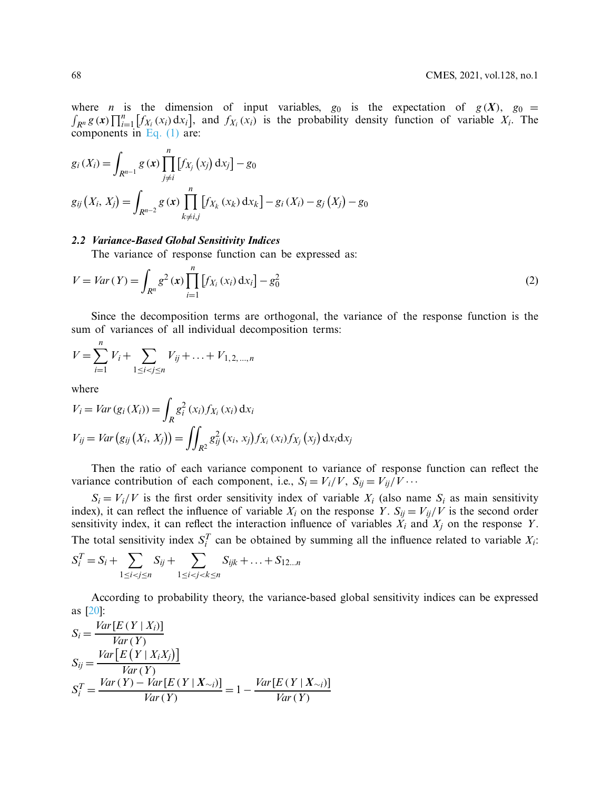where *n* is the dimension of input variables,  $g_0$  is the expectation of  $g(X)$ ,  $g_0 =$  $\int_{R^n} g(x) \prod_{i=1}^n [f_{X_i}(x_i) dx_i]$ , and  $f_{X_i}(x_i)$  is the probability density function of variable  $X_i$ . The components in [Eq. \(1\)](#page-2-0) are:

$$
g_i(X_i) = \int_{R^{n-1}} g(x) \prod_{j \neq i}^n [f_{X_j}(x_j) dx_j] - g_0
$$
  

$$
g_{ij}(X_i, X_j) = \int_{R^{n-2}} g(x) \prod_{k \neq i,j}^n [f_{X_k}(x_k) dx_k] - g_i(X_i) - g_j(X_j) - g_0
$$

# *2.2 Variance-Based Global Sensitivity Indices*

The variance of response function can be expressed as:

$$
V = Var(Y) = \int_{R^n} g^2(x) \prod_{i=1}^n [f_{X_i}(x_i) dx_i] - g_0^2
$$
 (2)

Since the decomposition terms are orthogonal, the variance of the response function is the sum of variances of all individual decomposition terms:

$$
V = \sum_{i=1}^{n} V_i + \sum_{1 \le i < j \le n} V_{ij} + \ldots + V_{1,2,\ldots,n}
$$

where

$$
V_i = Var(g_i(X_i)) = \int_R g_i^2(x_i) f_{X_i}(x_i) dx_i
$$
  
\n
$$
V_{ij} = Var(g_{ij}(X_i, X_j)) = \iint_{R^2} g_{ij}^2(x_i, x_j) f_{X_i}(x_i) f_{X_j}(x_j) dx_i dx_j
$$

Then the ratio of each variance component to variance of response function can reflect the variance contribution of each component, i.e.,  $S_i = V_i/V$ ,  $S_{ij} = V_{ij}/V \cdots$ 

 $S_i = V_i/V$  is the first order sensitivity index of variable  $X_i$  (also name  $S_i$  as main sensitivity index), it can reflect the influence of variable  $X_i$  on the response *Y*.  $S_{ij} = V_{ij}/V$  is the second order sensitivity index, it can reflect the interaction influence of variables  $\hat{X}_i$  and  $\hat{X}_j$  on the response *Y*. The total sensitivity index  $S_i^T$  can be obtained by summing all the influence related to variable  $X_i$ :

$$
S_i^T = S_i + \sum_{1 \le i < j \le n} S_{ij} + \sum_{1 \le i < j < k \le n} S_{ijk} + \dots + S_{12\dots n}
$$

According to probability theory, the variance-based global sensitivity indices can be expressed as [\[20\]](#page-20-1):

$$
S_i = \frac{Var[E(Y | X_i)]}{Var(Y)}
$$
  
\n
$$
S_{ij} = \frac{Var[E(Y | X_iX_j)]}{Var(Y)}
$$
  
\n
$$
S_i^T = \frac{Var(Y) - Var[E(Y | X_{\sim i})]}{Var(Y)} = 1 - \frac{Var[E(Y | X_{\sim i})]}{Var(Y)}
$$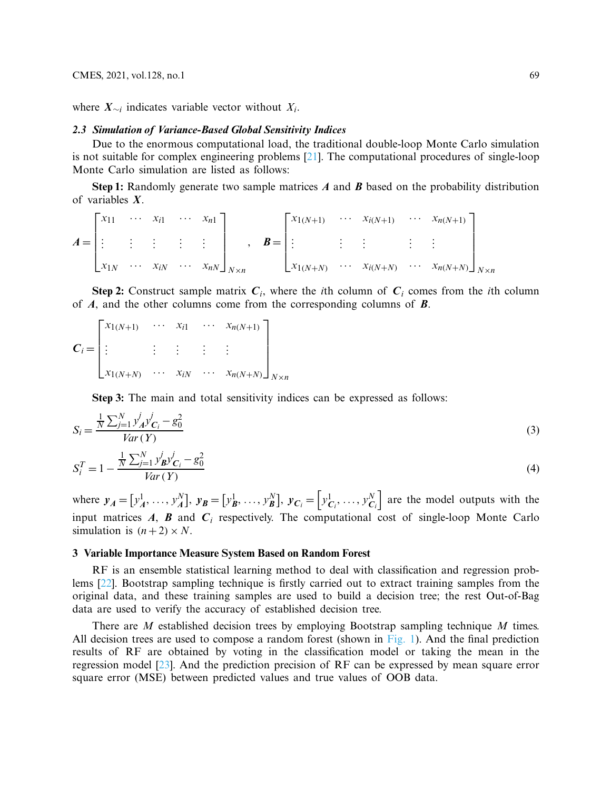where *X*∼*<sup>i</sup>* indicates variable vector without *Xi*.

# *2.3 Simulation of Variance-Based Global Sensitivity Indices*

Due to the enormous computational load, the traditional double-loop Monte Carlo simulation is not suitable for complex engineering problems [\[21\]](#page-20-2). The computational procedures of single-loop Monte Carlo simulation are listed as follows:

**Step 1:** Randomly generate two sample matrices *A* and *B* based on the probability distribution of variables *X*.

$$
A = \begin{bmatrix} x_{11} & \cdots & x_{i1} & \cdots & x_{n1} \\ \vdots & \vdots & \vdots & \vdots & \vdots \\ x_{1N} & \cdots & x_{iN} & \cdots & x_{nN} \end{bmatrix}_{N \times n}, \quad B = \begin{bmatrix} x_{1(N+1)} & \cdots & x_{i(N+1)} & \cdots & x_{n(N+1)} \\ \vdots & \vdots & \vdots & \vdots & \vdots \\ x_{1(N+N)} & \cdots & x_{i(N+N)} & \cdots & x_{n(N+N)} \end{bmatrix}_{N \times n}
$$

**Step 2:** Construct sample matrix  $C_i$ , where the *i*th column of  $C_i$  comes from the *i*th column of *A*, and the other columns come from the corresponding columns of *B*.

$$
C_{i} = \begin{bmatrix} x_{1(N+1)} & \cdots & x_{i1} & \cdots & x_{n(N+1)} \\ \vdots & & \vdots & \vdots & \vdots \\ x_{1(N+N)} & \cdots & x_{iN} & \cdots & x_{n(N+N)} \end{bmatrix}_{N \times n}
$$

**Step 3:** The main and total sensitivity indices can be expressed as follows:

$$
S_i = \frac{\frac{1}{N} \sum_{j=1}^{N} y_A^j y_{C_i}^j - g_0^2}{Var(Y)}
$$
(3)

$$
S_i^T = 1 - \frac{\frac{1}{N} \sum_{j=1}^N y_{\mathbf{B}}^j y_{\mathbf{C}_i}^j - g_0^2}{Var(Y)}
$$
(4)

where  $y_A = [y_A^1, \ldots, y_A^N]$ ,  $y_B = [y_B^1, \ldots, y_B^N]$ ,  $y_{C_i} = [y_{C_i}^1, \ldots, y_{C_i}^N]$  are the model outputs with the input matrices  $A$ ,  $B$  and  $C$ <sup>*i*</sup> respectively. The computational cost of single-loop Monte Carlo simulation is  $(n+2) \times N$ .

# **3 Variable Importance Measure System Based on Random Forest**

RF is an ensemble statistical learning method to deal with classification and regression problems [\[22\]](#page-20-3). Bootstrap sampling technique is firstly carried out to extract training samples from the original data, and these training samples are used to build a decision tree; the rest Out-of-Bag data are used to verify the accuracy of established decision tree.

There are *M* established decision trees by employing Bootstrap sampling technique *M* times. All decision trees are used to compose a random forest (shown in [Fig. 1\)](#page-5-0). And the final prediction results of RF are obtained by voting in the classification model or taking the mean in the regression model [\[23](#page-20-4)]. And the prediction precision of RF can be expressed by mean square error square error (MSE) between predicted values and true values of OOB data.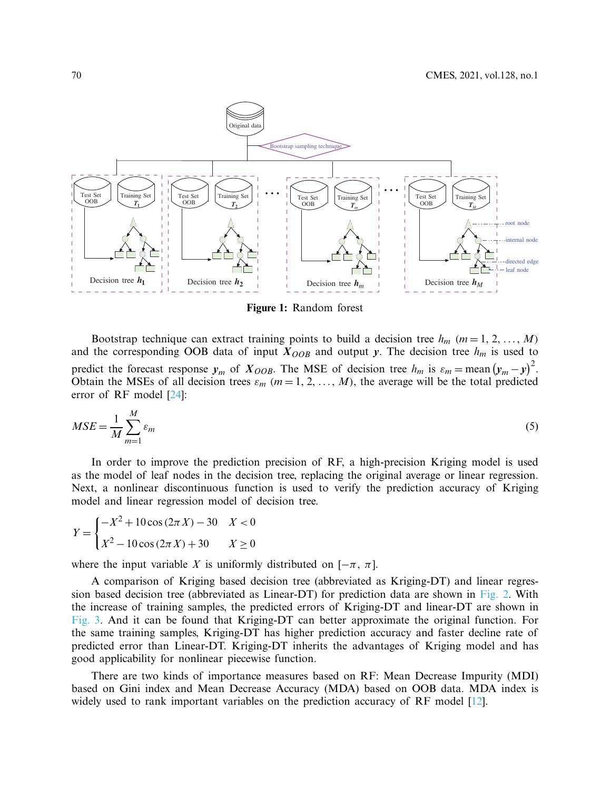

<span id="page-5-0"></span>**Figure 1:** Random forest

Bootstrap technique can extract training points to build a decision tree  $h_m$  ( $m = 1, 2, ..., M$ ) and the corresponding OOB data of input  $X_{OOB}$  and output *y*. The decision tree  $h_m$  is used to predict the forecast response  $y_m$  of  $X_{OOB}$ . The MSE of decision tree  $h_m$  is  $\varepsilon_m = \text{mean}(y_m - y)^2$ . Obtain the MSEs of all decision trees  $\varepsilon_m$  ( $m = 1, 2, ..., M$ ), the average will be the total predicted error of RF model [\[24\]](#page-20-5):

$$
MSE = \frac{1}{M} \sum_{m=1}^{M} \varepsilon_m \tag{5}
$$

In order to improve the prediction precision of RF, a high-precision Kriging model is used as the model of leaf nodes in the decision tree, replacing the original average or linear regression. Next, a nonlinear discontinuous function is used to verify the prediction accuracy of Kriging model and linear regression model of decision tree.

$$
Y = \begin{cases} -X^2 + 10\cos(2\pi X) - 30 & X < 0\\ X^2 - 10\cos(2\pi X) + 30 & X \ge 0 \end{cases}
$$

where the input variable *X* is uniformly distributed on  $[-\pi, \pi]$ .

A comparison of Kriging based decision tree (abbreviated as Kriging-DT) and linear regression based decision tree (abbreviated as Linear-DT) for prediction data are shown in [Fig. 2.](#page-6-0) With the increase of training samples, the predicted errors of Kriging-DT and linear-DT are shown in [Fig. 3.](#page-6-1) And it can be found that Kriging-DT can better approximate the original function. For the same training samples, Kriging-DT has higher prediction accuracy and faster decline rate of predicted error than Linear-DT. Kriging-DT inherits the advantages of Kriging model and has good applicability for nonlinear piecewise function.

There are two kinds of importance measures based on RF: Mean Decrease Impurity (MDI) based on Gini index and Mean Decrease Accuracy (MDA) based on OOB data. MDA index is widely used to rank important variables on the prediction accuracy of RF model [\[12](#page-19-10)].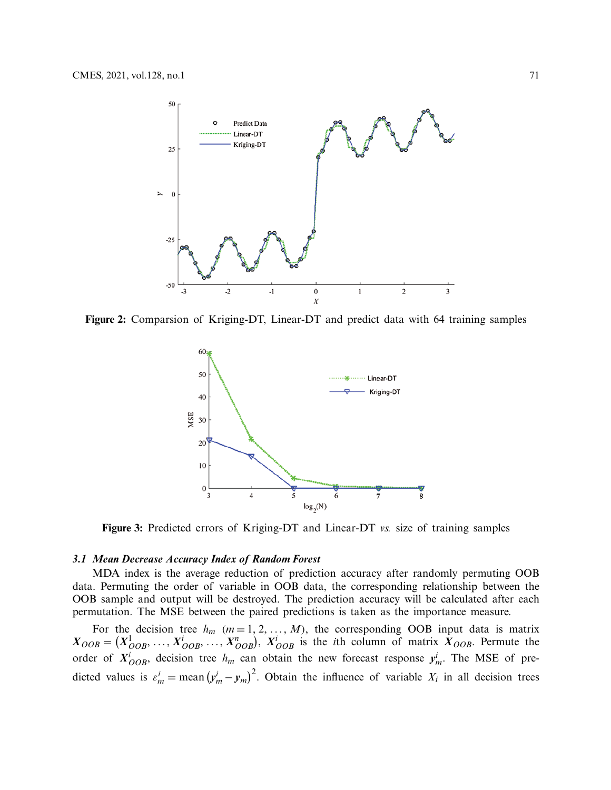

**Figure 2:** Comparsion of Kriging-DT, Linear-DT and predict data with 64 training samples

<span id="page-6-0"></span>

<span id="page-6-1"></span>**Figure 3:** Predicted errors of Kriging-DT and Linear-DT *vs.* size of training samples

#### *3.1 Mean Decrease Accuracy Index of Random Forest*

MDA index is the average reduction of prediction accuracy after randomly permuting OOB data. Permuting the order of variable in OOB data, the corresponding relationship between the OOB sample and output will be destroyed. The prediction accuracy will be calculated after each permutation. The MSE between the paired predictions is taken as the importance measure.

For the decision tree  $h_m$  ( $m = 1, 2, ..., M$ ), the corresponding OOB input data is matrix  $X_{OOB} = (X_{OOB}^1, \ldots, X_{OOB}^i, \ldots, X_{OOB}^n)$ ,  $X_{OOB}^i$  is the *i*th column of matrix  $X_{OOB}$ . Permute the order of  $X^i_{OOB}$ , decision tree  $h_m$  can obtain the new forecast response  $y^i_m$ . The MSE of predicted values is  $\varepsilon_m^i = \text{mean}(y_m^i - y_m)^2$ . Obtain the influence of variable  $X_i$  in all decision trees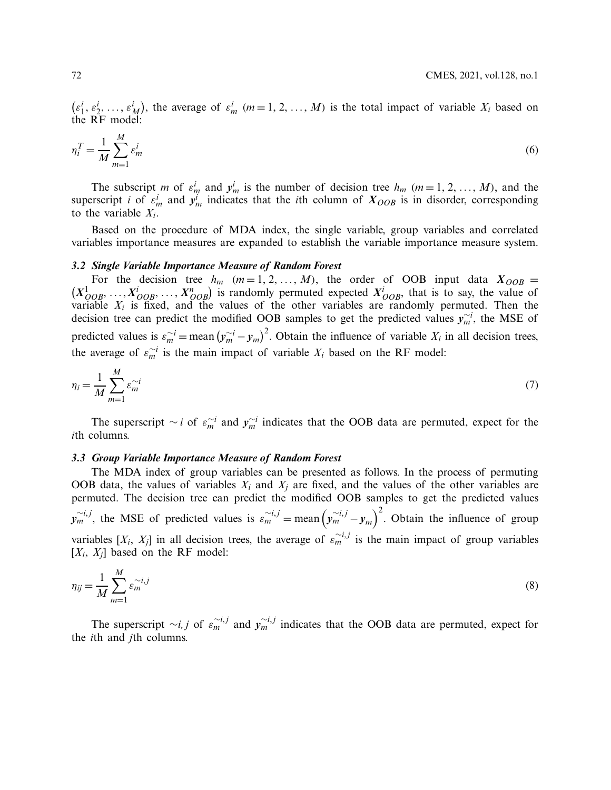$(\epsilon_1^i, \epsilon_2^i, \ldots, \epsilon_M^i)$ , the average of  $\epsilon_m^i$  (*m* = 1, 2, ..., *M*) is the total impact of variable *X<sub>i</sub>* based on the RF model:

$$
\eta_i^T = \frac{1}{M} \sum_{m=1}^M \varepsilon_m^i \tag{6}
$$

The subscript *m* of  $\varepsilon_m^i$  and  $y_m^i$  is the number of decision tree  $h_m$  ( $m = 1, 2, ..., M$ ), and the superscript *i* of  $\varepsilon_m^i$  and  $y_m^i$  indicates that the *i*th column of  $X_{OOB}$  is in disorder, corresponding to the variable *Xi*.

Based on the procedure of MDA index, the single variable, group variables and correlated variables importance measures are expanded to establish the variable importance measure system.

#### *3.2 Single Variable Importance Measure of Random Forest*

 $(X_{OOB}^1, \ldots, X_{OOB}^i, \ldots, X_{OOB}^n)$  is randomly permuted expected  $X_{OOB}^i$ , that is to say, the value of For the decision tree  $h_m$  ( $m = 1, 2, ..., M$ ), the order of OOB input data  $X_{OOB}$  = variable *Xi* is fixed, and the values of the other variables are randomly permuted. Then the decision tree can predict the modified OOB samples to get the predicted values  $y_m^{\sim i}$ , the MSE of predicted values is  $\varepsilon_m^{\sim i} = \text{mean} (y_m^{\sim i} - y_m)^2$ . Obtain the influence of variable  $X_i$  in all decision trees, the average of  $\varepsilon_m^{\sim i}$  is the main impact of variable  $X_i$  based on the RF model:

$$
\eta_i = \frac{1}{M} \sum_{m=1}^{M} \varepsilon_m^{-i} \tag{7}
$$

The superscript  $\sim i$  of  $\varepsilon_m^{\sim i}$  and  $y_m^{\sim i}$  indicates that the OOB data are permuted, expect for the *i*th columns.

# *3.3 Group Variable Importance Measure of Random Forest*

The MDA index of group variables can be presented as follows. In the process of permuting OOB data, the values of variables  $X_i$  and  $X_j$  are fixed, and the values of the other variables are permuted. The decision tree can predict the modified OOB samples to get the predicted values  $y_m^{\sim i,j}$ , the MSE of predicted values is  $\varepsilon_m^{\sim i,j} = \text{mean} \left( y_m^{\sim i,j} - y_m \right)^2$ . Obtain the influence of group variables  $[X_i, X_j]$  in all decision trees, the average of  $\varepsilon_m^{\sim i,j}$  is the main impact of group variables  $[X_i, X_j]$  based on the RF model:

$$
\eta_{ij} = \frac{1}{M} \sum_{m=1}^{M} \varepsilon_m^{-i,j} \tag{8}
$$

The superscript  $\sim i, j$  of  $\varepsilon_m^{\sim i, j}$  and  $y_m^{\sim i, j}$  indicates that the OOB data are permuted, expect for the *i*th and *j*th columns.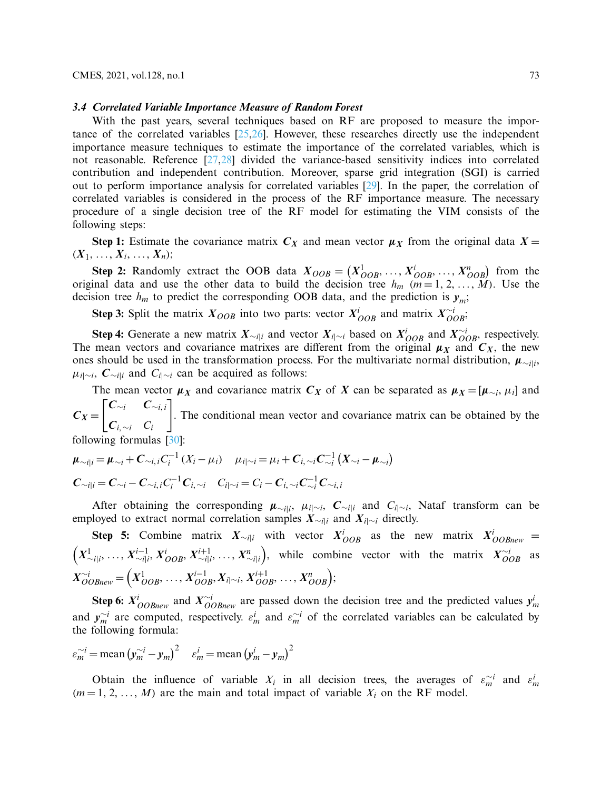#### *3.4 Correlated Variable Importance Measure of Random Forest*

With the past years, several techniques based on RF are proposed to measure the importance of the correlated variables [\[25](#page-20-6)[,26\]](#page-20-7). However, these researches directly use the independent importance measure techniques to estimate the importance of the correlated variables, which is not reasonable. Reference [\[27](#page-20-8)[,28\]](#page-20-9) divided the variance-based sensitivity indices into correlated contribution and independent contribution. Moreover, sparse grid integration (SGI) is carried out to perform importance analysis for correlated variables [\[29\]](#page-20-10). In the paper, the correlation of correlated variables is considered in the process of the RF importance measure. The necessary procedure of a single decision tree of the RF model for estimating the VIM consists of the following steps:

**Step 1:** Estimate the covariance matrix  $C_X$  and mean vector  $\mu_X$  from the original data  $X =$  $(X_1, \ldots, X_i, \ldots, X_n);$ 

**Step 2:** Randomly extract the OOB data  $X_{OOB} = (X_{OOB}^1, \ldots, X_{OOB}^i, \ldots, X_{OOB}^n)$  from the original data and use the other data to build the decision tree  $h_m$  ( $m = 1, 2, ..., M$ ). Use the decision tree  $h_m$  to predict the corresponding OOB data, and the prediction is  $y_m$ ;

**Step 3:** Split the matrix  $X_{OOB}$  into two parts: vector  $X_{OOB}^i$  and matrix  $X_{OOB}^{\sim i}$ ;

**Step 4:** Generate a new matrix  $X_{\sim i|i}$  and vector  $X_{i|\sim i}$  based on  $X_{OOB}^i$  and  $X_{OOB}^{\sim i}$ , respectively. The mean vectors and covariance matrixes are different from the original  $\mu_X$  and  $C_X$ , the new ones should be used in the transformation process. For the multivariate normal distribution,  $\mu_{\sim i|i}$ ,  $\mu_{i|~\sim i}$ ,  $C_{\sim i|i}$  and  $C_{i|~\sim i}$  can be acquired as follows:

The mean vector  $\mu_X$  and covariance matrix  $C_X$  of *X* can be separated as  $\mu_X = [\mu_{\sim i}, \mu_i]$  and  $C_X =$  *C*∼*<sup>i</sup> C*∼*i*, *<sup>i</sup>* ן . The conditional mean vector and covariance matrix can be obtained by the

*Ci*,∼*<sup>i</sup> Ci* following formulas [\[30\]](#page-20-11):

$$
\mu_{\sim i|i} = \mu_{\sim i} + C_{\sim i,i} C_i^{-1} (X_i - \mu_i) \quad \mu_{i|\sim i} = \mu_i + C_{i,\sim i} C_{\sim i}^{-1} (X_{\sim i} - \mu_{\sim i})
$$
  

$$
C_{\sim i|i} = C_{\sim i} - C_{\sim i,i} C_i^{-1} C_{i,\sim i} \quad C_{i|\sim i} = C_i - C_{i,\sim i} C_{\sim i}^{-1} C_{\sim i,i}
$$

After obtaining the corresponding  $\mu_{\sim i|i}$ ,  $\mu_{i|\sim i}$ ,  $C_{\sim i|i}$  and  $C_{i|\sim i}$ , Nataf transform can be employed to extract normal correlation samples  $X_{\sim i|i}$  and  $X_{i|\sim i}$  directly.

**Step 5:** Combine matrix  $X_{\sim i|i}$  with vector  $X_{OOB}^i$  as the new matrix  $X_{OOBnew}^i$  =  $\left(X^{1}_{\sim i|i},\, \ldots,\, X^{i-1}_{\sim i|i},\, X^{i}_{OOB},\, X^{i+1}_{\sim i|i},\, \ldots,\, X^{n}_{\sim i|i}\right)$ ), while combine vector with the matrix  $X_{OOB}^{\sim i}$  as  $X_{OOBnew}^{\sim i} = \left(X_{OOB}^1, \ldots, X_{OOB}^{i-1}, X_{i|\sim i}^i, X_{OOB}^{i+1}, \ldots, X_{OOB}^n\right);$ 

Step 6:  $X^i_{OOBnew}$  and  $X^{i}_{OOBnew}$  are passed down the decision tree and the predicted values  $y^i_m$ and  $y_m^{\sim i}$  are computed, respectively.  $\varepsilon_m^i$  and  $\varepsilon_m^{\sim i}$  of the correlated variables can be calculated by the following formula:

$$
\varepsilon_m^{\sim i} = \text{mean} \left( y_m^{\sim i} - y_m \right)^2 \quad \varepsilon_m^i = \text{mean} \left( y_m^i - y_m \right)^2
$$

Obtain the influence of variable  $X_i$  in all decision trees, the averages of  $\varepsilon_m^{\sim i}$  and  $\varepsilon_m^i$  $(m=1, 2, \ldots, M)$  are the main and total impact of variable  $X_i$  on the RF model.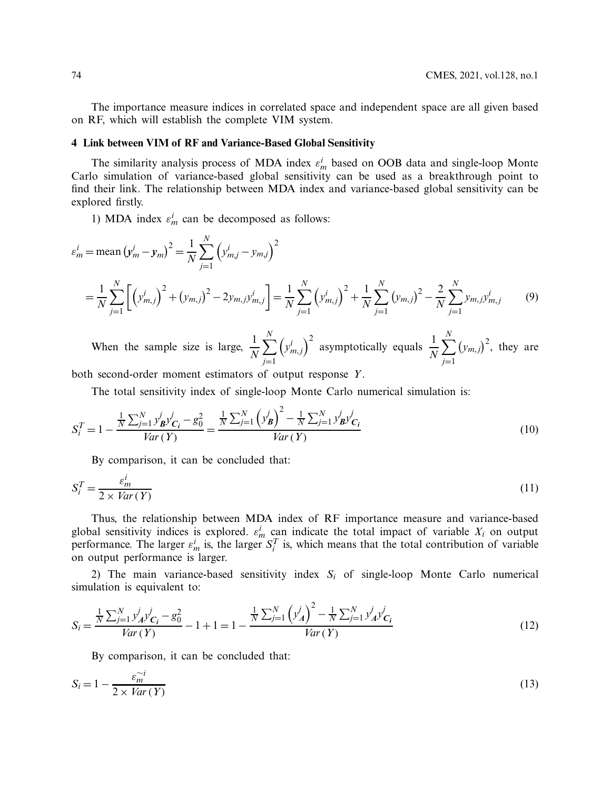The importance measure indices in correlated space and independent space are all given based on RF, which will establish the complete VIM system.

# **4 Link between VIM of RF and Variance-Based Global Sensitivity**

The similarity analysis process of MDA index  $\varepsilon_m^i$  based on OOB data and single-loop Monte Carlo simulation of variance-based global sensitivity can be used as a breakthrough point to find their link. The relationship between MDA index and variance-based global sensitivity can be explored firstly.

1) MDA index  $\varepsilon_m^i$  can be decomposed as follows:

$$
\varepsilon_{m}^{i} = \text{mean} \left( y_{m}^{i} - y_{m} \right)^{2} = \frac{1}{N} \sum_{j=1}^{N} \left( y_{m,j}^{i} - y_{m,j} \right)^{2}
$$
\n
$$
= \frac{1}{N} \sum_{j=1}^{N} \left[ \left( y_{m,j}^{i} \right)^{2} + \left( y_{m,j} \right)^{2} - 2y_{m,j} y_{m,j}^{i} \right] = \frac{1}{N} \sum_{j=1}^{N} \left( y_{m,j}^{i} \right)^{2} + \frac{1}{N} \sum_{j=1}^{N} \left( y_{m,j} \right)^{2} - \frac{2}{N} \sum_{j=1}^{N} y_{m,j} y_{m,j}^{i} \tag{9}
$$

When the sample size is large,  $\frac{1}{N}$  $\sum_{ }^{N}$ *j*=1  $(y<sup>i</sup><sub>m,j</sub>)<sup>2</sup>$  asymptotically equals  $\frac{1}{N}$  $\sum_{i=1}^{N}$ *j*=1  $(y_{m,j})^2$ , they are both second-order moment estimators of output response *Y*.

The total sensitivity index of single-loop Monte Carlo numerical simulation is:

$$
S_i^T = 1 - \frac{\frac{1}{N} \sum_{j=1}^N y_{\mathbf{B}}^j y_{\mathbf{C}_i}^j - g_0^2}{Var(Y)} = \frac{\frac{1}{N} \sum_{j=1}^N (y_{\mathbf{B}}^j)^2 - \frac{1}{N} \sum_{j=1}^N y_{\mathbf{B}}^j y_{\mathbf{C}_i}^j}{Var(Y)}
$$
(10)

<span id="page-9-1"></span>By comparison, it can be concluded that:

$$
S_i^T = \frac{\varepsilon_m^i}{2 \times Var\left(Y\right)}\tag{11}
$$

Thus, the relationship between MDA index of RF importance measure and variance-based global sensitivity indices is explored.  $\varepsilon_m^i$  can indicate the total impact of variable  $X_i$  on output performance. The larger  $\varepsilon_m^i$  is, the larger  $S_i^T$  is, which means that the total contribution of variable on output performance is larger.

2) The main variance-based sensitivity index  $S_i$  of single-loop Monte Carlo numerical simulation is equivalent to:

$$
S_i = \frac{\frac{1}{N} \sum_{j=1}^{N} y_A^j y_{C_i}^j - g_0^2}{Var(Y)} - 1 + 1 = 1 - \frac{\frac{1}{N} \sum_{j=1}^{N} (y_A^j)^2 - \frac{1}{N} \sum_{j=1}^{N} y_A^j y_{C_i}^j}{Var(Y)}
$$
(12)

<span id="page-9-0"></span>By comparison, it can be concluded that:

$$
S_i = 1 - \frac{\varepsilon_m^{\sim i}}{2 \times \text{Var}(Y)}\tag{13}
$$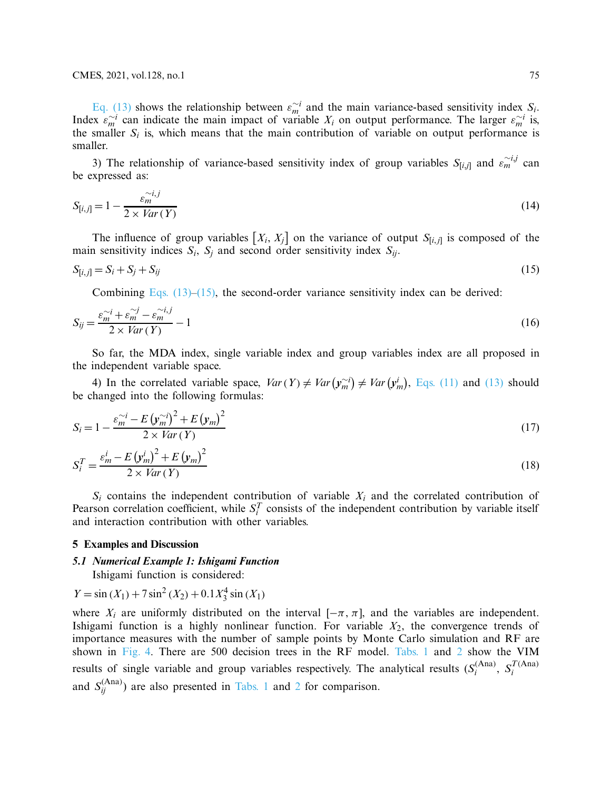[Eq. \(13\)](#page-9-0) shows the relationship between  $\varepsilon_m^{\sim i}$  and the main variance-based sensitivity index *S<sub>i</sub>*. Index  $\epsilon_m^{\sim i}$  can indicate the main impact of variable  $X_i$  on output performance. The larger  $\epsilon_m^{\sim i}$  is, the smaller  $S_i$  is, which means that the main contribution of variable on output performance is smaller.

3) The relationship of variance-based sensitivity index of group variables  $S_{[i,j]}$  and  $\varepsilon_m^{-i,j}$  can be expressed as:

$$
S_{[i,j]} = 1 - \frac{\varepsilon_m^{\sim i,j}}{2 \times Var(Y)}\tag{14}
$$

The influence of group variables  $[X_i, X_j]$  on the variance of output  $S_{[i,j]}$  is composed of the main sensitivity indices  $S_i$ ,  $S_j$  and second order sensitivity index  $S_{ij}$ .

$$
S_{[i,j]} = S_i + S_j + S_{ij}
$$
\n
$$
(15)
$$

<span id="page-10-1"></span><span id="page-10-0"></span>Combining Eqs.  $(13)$ – $(15)$ , the second-order variance sensitivity index can be derived:

$$
S_{ij} = \frac{\varepsilon_m^{\sim i} + \varepsilon_m^{\sim j} - \varepsilon_m^{\sim i, j}}{2 \times \text{Var}(Y)} - 1 \tag{16}
$$

So far, the MDA index, single variable index and group variables index are all proposed in the independent variable space.

4) In the correlated variable space,  $Var(Y) \neq Var(y_m^{-i}) \neq Var(y_m^i)$ , [Eqs. \(11\)](#page-9-1) and [\(13\)](#page-9-0) should be changed into the following formulas:

$$
S_i = 1 - \frac{\varepsilon_m^{\sim i} - E\left(\mathbf{y}_m^{\sim i}\right)^2 + E\left(\mathbf{y}_m\right)^2}{2 \times Var\left(Y\right)}\tag{17}
$$

$$
S_i^T = \frac{\varepsilon_m^i - E\left(\mathbf{y}_m^i\right)^2 + E\left(\mathbf{y}_m\right)^2}{2 \times Var\left(Y\right)}\tag{18}
$$

 $S_i$  contains the independent contribution of variable  $X_i$  and the correlated contribution of Pearson correlation coefficient, while  $S_i^T$  consists of the independent contribution by variable itself and interaction contribution with other variables.

#### **5 Examples and Discussion**

# *5.1 Numerical Example 1: Ishigami Function*

Ishigami function is considered:

$$
Y = \sin(X_1) + 7\sin^2(X_2) + 0.1X_3^4\sin(X_1)
$$

where  $X_i$  are uniformly distributed on the interval  $[-\pi, \pi]$ , and the variables are independent. Ishigami function is a highly nonlinear function. For variable  $X_2$ , the convergence trends of importance measures with the number of sample points by Monte Carlo simulation and RF are shown in [Fig. 4.](#page-11-0) There are 500 decision trees in the RF model. [Tabs. 1](#page-11-1) and [2](#page-11-2) show the VIM results of single variable and group variables respectively. The analytical results  $(S_i^{(Ana)}, S_i^{T(Ana)}$ and  $S_{ij}^{(Ana)}$ ) are also presented in [Tabs. 1](#page-11-1) and [2](#page-11-2) for comparison.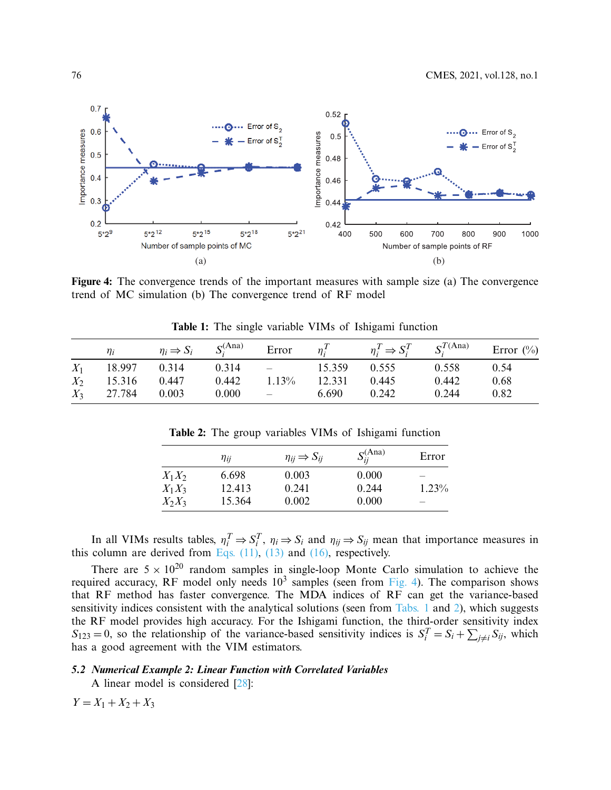

<span id="page-11-0"></span>**Figure 4:** The convergence trends of the important measures with sample size (a) The convergence trend of MC simulation (b) The convergence trend of RF model

|       | $\eta_i$     | $\eta_i \Rightarrow S_i$ $S_i^{(Ana)}$ |       | Error                                                     | $\eta_i^T$ | $\eta_i^T \Rightarrow S_i^T$ $S_i^{T(\text{Ana})}$ |       | Error $(\%)$ |
|-------|--------------|----------------------------------------|-------|-----------------------------------------------------------|------------|----------------------------------------------------|-------|--------------|
| $X_1$ | 18.997 0.314 |                                        | 0.314 | $\mathcal{L}_{\text{max}}$ and $\mathcal{L}_{\text{max}}$ | 15.359     | 0.555                                              | 0.558 | 0.54         |
| $X_2$ | 15.316       | 0.447                                  | 0.442 | 1.13%                                                     | 12.331     | 0.445                                              | 0.442 | 0.68         |
| $X_3$ | 27.784       | 0.003                                  | 0.000 | $\sim$ $-$                                                | 6.690      | 0.242                                              | 0.244 | 0.82         |

<span id="page-11-1"></span>**Table 1:** The single variable VIMs of Ishigami function

<span id="page-11-2"></span>**Table 2:** The group variables VIMs of Ishigami function

|          | $\eta_{ii}$ | $\eta_{ii} \Rightarrow S_{ii}$ | $S_{ii}^{(Ana)}$ | Error    |
|----------|-------------|--------------------------------|------------------|----------|
| $X_1X_2$ | 6.698       | 0.003                          | 0.000            |          |
| $X_1X_3$ | 12.413      | 0.241                          | 0.244            | $1.23\%$ |
| $X_2X_3$ | 15.364      | 0.002                          | 0.000            |          |

In all VIMs results tables,  $\eta_i^T \Rightarrow S_i^T$ ,  $\eta_i \Rightarrow S_i$  and  $\eta_{ij} \Rightarrow S_{ij}$  mean that importance measures in this column are derived from Eqs.  $(11)$ ,  $(13)$  and  $(16)$ , respectively.

There are  $5 \times 10^{20}$  random samples in single-loop Monte Carlo simulation to achieve the required accuracy, RF model only needs  $10^3$  samples (seen from [Fig. 4\)](#page-11-0). The comparison shows that RF method has faster convergence. The MDA indices of RF can get the variance-based sensitivity indices consistent with the analytical solutions (seen from [Tabs. 1](#page-11-1) and [2\)](#page-11-2), which suggests the RF model provides high accuracy. For the Ishigami function, the third-order sensitivity index  $S_{123} = 0$ , so the relationship of the variance-based sensitivity indices is  $S_i^T = S_i + \sum_{j \neq i} S_{ij}$ , which has a good agreement with the VIM estimators.

# *5.2 Numerical Example 2: Linear Function with Correlated Variables*

A linear model is considered [\[28](#page-20-9)]:

 $Y = X_1 + X_2 + X_3$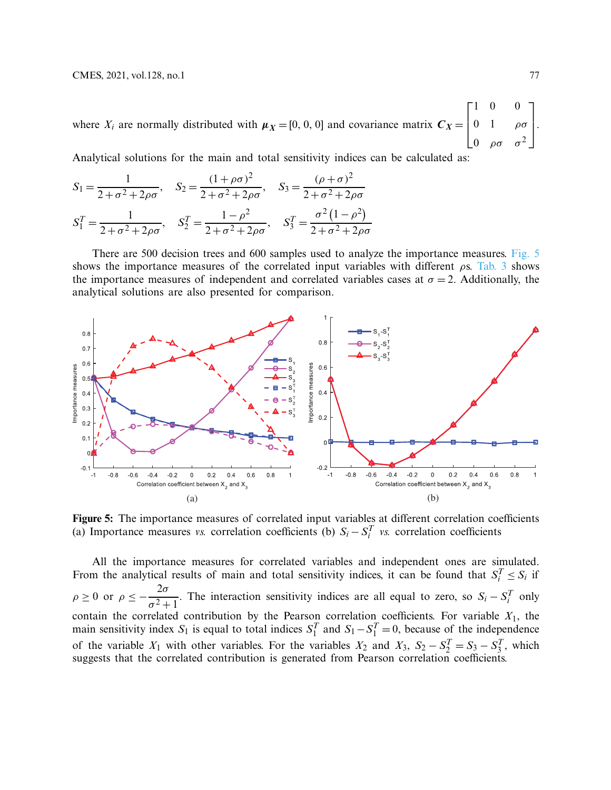where  $X_i$  are normally distributed with  $\mu_X = [0, 0, 0]$  and covariance matrix  $C_X =$  $\Gamma$  $\vert$ 10 0  $0$  1 ρσ 0  $\rho \sigma$   $\sigma^2$ ⎤  $\left| \cdot \right|$ 

Analytical solutions for the main and total sensitivity indices can be calculated as:

$$
S_1 = \frac{1}{2 + \sigma^2 + 2\rho\sigma}, \quad S_2 = \frac{(1 + \rho\sigma)^2}{2 + \sigma^2 + 2\rho\sigma}, \quad S_3 = \frac{(\rho + \sigma)^2}{2 + \sigma^2 + 2\rho\sigma}
$$

$$
S_1^T = \frac{1}{2 + \sigma^2 + 2\rho\sigma}, \quad S_2^T = \frac{1 - \rho^2}{2 + \sigma^2 + 2\rho\sigma}, \quad S_3^T = \frac{\sigma^2 (1 - \rho^2)}{2 + \sigma^2 + 2\rho\sigma}
$$

There are 500 decision trees and 600 samples used to analyze the importance measures. [Fig. 5](#page-12-0) shows the importance measures of the correlated input variables with different  $\rho s$ . [Tab. 3](#page-13-0) shows the importance measures of independent and correlated variables cases at  $\sigma = 2$ . Additionally, the analytical solutions are also presented for comparison.



<span id="page-12-0"></span>**Figure 5:** The importance measures of correlated input variables at different correlation coefficients (a) Importance measures *vs.* correlation coefficients (b)  $S_i - S_i^T$  *vs.* correlation coefficients

All the importance measures for correlated variables and independent ones are simulated. From the analytical results of main and total sensitivity indices, it can be found that  $S_i^T \leq S_i$  if  $\rho \geq 0$  or  $\rho \leq -\frac{2\sigma}{\sigma^2 + \sigma^2}$  $\sigma^2 + 1$ . The interaction sensitivity indices are all equal to zero, so  $S_i - S_i^T$  only contain the correlated contribution by the Pearson correlation coefficients. For variable  $X_1$ , the main sensitivity index  $S_1$  is equal to total indices  $S_1^T$  and  $S_1 - S_1^T = 0$ , because of the independence of the variable  $X_1$  with other variables. For the variables  $X_2$  and  $X_3$ ,  $S_2 - S_2^T = S_3 - S_3^T$ , which suggests that the correlated contribution is generated from Pearson correlation coefficients.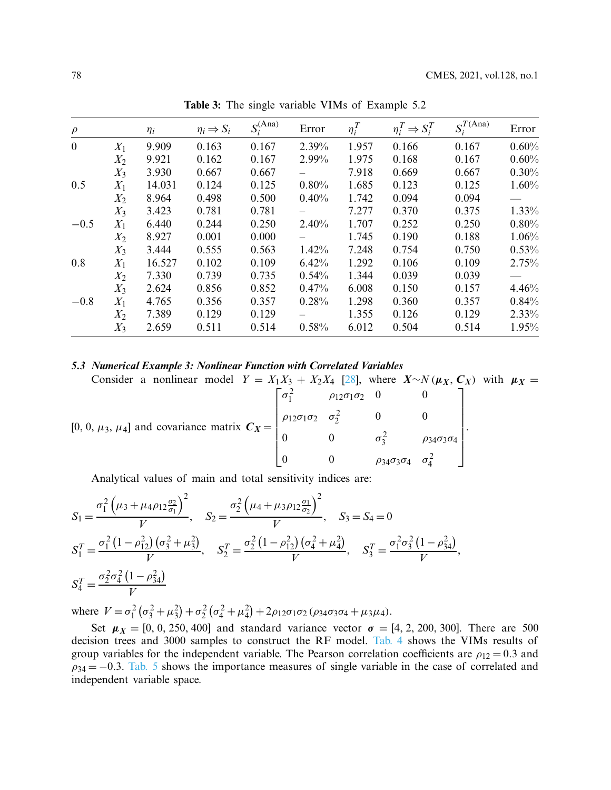| $\rho$       |       | $\eta_i$ | $\eta_i \Rightarrow S_i$ | $S_i^{(Ana)}$ | Error | $\eta_i^T$ | $\eta_i^T \Rightarrow S_i^T$ | $S_i^{T(\overline{\mathrm{Ana}})}$ | Error    |
|--------------|-------|----------|--------------------------|---------------|-------|------------|------------------------------|------------------------------------|----------|
| $\mathbf{0}$ | $X_1$ | 9.909    | 0.163                    | 0.167         | 2.39% | 1.957      | 0.166                        | 0.167                              | 0.60%    |
|              | $X_2$ | 9.921    | 0.162                    | 0.167         | 2.99% | 1.975      | 0.168                        | 0.167                              | 0.60%    |
|              | $X_3$ | 3.930    | 0.667                    | 0.667         |       | 7.918      | 0.669                        | 0.667                              | 0.30%    |
| 0.5          | $X_1$ | 14.031   | 0.124                    | 0.125         | 0.80% | 1.685      | 0.123                        | 0.125                              | $1.60\%$ |
|              | $X_2$ | 8.964    | 0.498                    | 0.500         | 0.40% | 1.742      | 0.094                        | 0.094                              |          |
|              | $X_3$ | 3.423    | 0.781                    | 0.781         |       | 7.277      | 0.370                        | 0.375                              | 1.33%    |
| $-0.5$       | $X_1$ | 6.440    | 0.244                    | 0.250         | 2.40% | 1.707      | 0.252                        | 0.250                              | 0.80%    |
|              | $X_2$ | 8.927    | 0.001                    | 0.000         |       | 1.745      | 0.190                        | 0.188                              | 1.06%    |
|              | $X_3$ | 3.444    | 0.555                    | 0.563         | 1.42% | 7.248      | 0.754                        | 0.750                              | 0.53%    |
| 0.8          | $X_1$ | 16.527   | 0.102                    | 0.109         | 6.42% | 1.292      | 0.106                        | 0.109                              | 2.75%    |
|              | $X_2$ | 7.330    | 0.739                    | 0.735         | 0.54% | 1.344      | 0.039                        | 0.039                              |          |
|              | $X_3$ | 2.624    | 0.856                    | 0.852         | 0.47% | 6.008      | 0.150                        | 0.157                              | 4.46%    |
| $-0.8$       | $X_1$ | 4.765    | 0.356                    | 0.357         | 0.28% | 1.298      | 0.360                        | 0.357                              | 0.84%    |
|              | $X_2$ | 7.389    | 0.129                    | 0.129         |       | 1.355      | 0.126                        | 0.129                              | $2.33\%$ |
|              | $X_3$ | 2.659    | 0.511                    | 0.514         | 0.58% | 6.012      | 0.504                        | 0.514                              | 1.95%    |

<span id="page-13-0"></span>**Table 3:** The single variable VIMs of Example 5.2

#### *5.3 Numerical Example 3: Nonlinear Function with Correlated Variables*

Consider a nonlinear model 
$$
Y = X_1 X_3 + X_2 X_4
$$
 [28], where  $X \sim N(\mu_X, C_X)$  with  $\mu_X =$   
\n[0, 0,  $\mu_3$ ,  $\mu_4$ ] and covariance matrix  $C_X = \begin{bmatrix} \sigma_1^2 & \rho_{12}\sigma_1\sigma_2 & 0 & 0 \\ \rho_{12}\sigma_1\sigma_2 & \sigma_2^2 & 0 & 0 \\ 0 & 0 & \sigma_3^2 & \rho_{34}\sigma_3\sigma_4 \\ 0 & 0 & \rho_{34}\sigma_3\sigma_4 & \sigma_4^2 \end{bmatrix}$ .

Analytical values of main and total sensitivity indices are:

$$
S_1 = \frac{\sigma_1^2 \left(\mu_3 + \mu_4 \rho_{12} \frac{\sigma_2}{\sigma_1}\right)^2}{V}, \quad S_2 = \frac{\sigma_2^2 \left(\mu_4 + \mu_3 \rho_{12} \frac{\sigma_1}{\sigma_2}\right)^2}{V}, \quad S_3 = S_4 = 0
$$
  
\n
$$
S_1^T = \frac{\sigma_1^2 \left(1 - \rho_{12}^2\right) \left(\sigma_3^2 + \mu_3^2\right)}{V}, \quad S_2^T = \frac{\sigma_2^2 \left(1 - \rho_{12}^2\right) \left(\sigma_4^2 + \mu_4^2\right)}{V}, \quad S_3^T = \frac{\sigma_1^2 \sigma_3^2 \left(1 - \rho_{34}^2\right)}{V},
$$
  
\n
$$
S_4^T = \frac{\sigma_2^2 \sigma_4^2 \left(1 - \rho_{34}^2\right)}{V},
$$

where  $V = \sigma_1^2 (\sigma_3^2 + \mu_3^2) + \sigma_2^2 (\sigma_4^2 + \mu_4^2) + 2\rho_{12}\sigma_1\sigma_2 (\rho_{34}\sigma_3\sigma_4 + \mu_3\mu_4).$ 

Set  $\mu_X = [0, 0, 250, 400]$  and standard variance vector  $\sigma = [4, 2, 200, 300]$ . There are 500 decision trees and 3000 samples to construct the RF model. [Tab. 4](#page-14-0) shows the VIMs results of group variables for the independent variable. The Pearson correlation coefficients are  $\rho_{12} = 0.3$  and  $\rho_{34} = -0.3$ . [Tab. 5](#page-14-1) shows the importance measures of single variable in the case of correlated and independent variable space.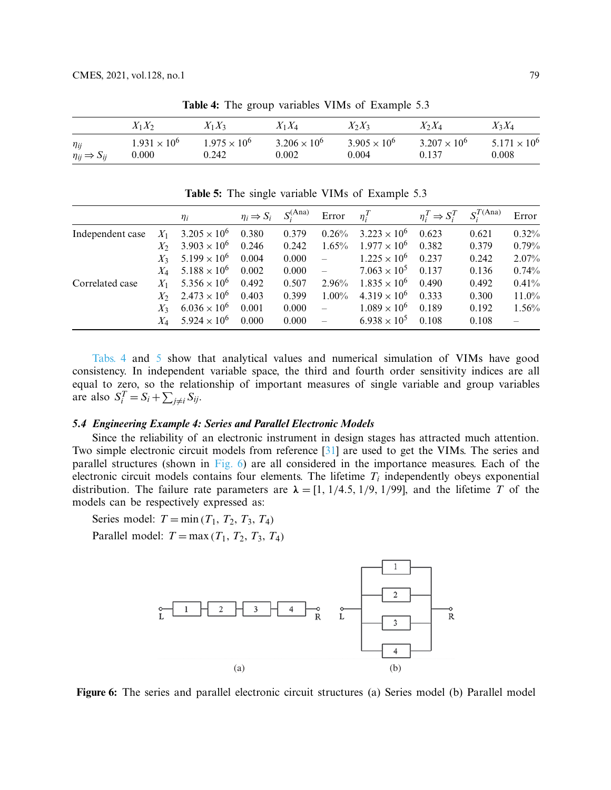|                                               | $X_1X_2$                       | $X_1X_3$                       | $X_1X_4$                       | $X_2X_3$                       | $X_2X_4$                       | $X_3X_4$                       |  |
|-----------------------------------------------|--------------------------------|--------------------------------|--------------------------------|--------------------------------|--------------------------------|--------------------------------|--|
| $\eta_{ij}$<br>$\eta_{ij} \Rightarrow S_{ij}$ | $1.931 \times 10^{6}$<br>0.000 | $1.975 \times 10^{6}$<br>0.242 | $3.206 \times 10^{6}$<br>0.002 | $3.905 \times 10^{6}$<br>0.004 | $3.207 \times 10^{6}$<br>0.137 | $5.171 \times 10^{6}$<br>0.008 |  |

<span id="page-14-0"></span>**Table 4:** The group variables VIMs of Example 5.3

<span id="page-14-1"></span>**Table 5:** The single variable VIMs of Example 5.3

|                  |         | $\eta_i$                             | $\eta_i \Rightarrow S_i$ | $S_i^{(Ana)}$ | Error                    | $\eta_i^T$            | $\eta_i^T \Rightarrow S_i^T$ | $S_i^{T(\text{Ana})}$ | Error |
|------------------|---------|--------------------------------------|--------------------------|---------------|--------------------------|-----------------------|------------------------------|-----------------------|-------|
| Independent case | $X_1$   | $3.205 \times 10^{6}$                | 0.380                    | 0.379         | 0.26%                    | $3.223 \times 10^{6}$ | 0.623                        | 0.621                 | 0.32% |
|                  | $X_{2}$ | $3.903 \times 10^{6}$                | 0.246                    | 0.242         | $1.65\%$                 | $1.977 \times 10^{6}$ | 0.382                        | 0.379                 | 0.79% |
|                  | $X_3$   | $5.199 \times 10^{6}$                | 0.004                    | 0.000         | $\overline{\phantom{a}}$ | $1.225 \times 10^{6}$ | 0.237                        | 0.242                 | 2.07% |
|                  |         | $X_4$ 5.188 $\times$ 10 <sup>6</sup> | 0.002                    | 0.000         | $\equiv$                 | $7.063 \times 10^{5}$ | 0.137                        | 0.136                 | 0.74% |
| Correlated case  | $X_1$   | $5.356 \times 10^{6}$                | 0.492                    | 0.507         | 2.96%                    | $1.835 \times 10^{6}$ | 0.490                        | 0.492                 | 0.41% |
|                  | $X_{2}$ | $2.473 \times 10^{6}$                | 0.403                    | 0.399         | $1.00\%$                 | $4.319 \times 10^{6}$ | 0.333                        | 0.300                 | 11.0% |
|                  | $X_3$   | $6.036 \times 10^{6}$                | 0.001                    | 0.000         | $\equiv$                 | $1.089 \times 10^{6}$ | 0.189                        | 0.192                 | 1.56% |
|                  |         | $X_4$ 5.924 $\times$ 10 <sup>6</sup> | 0.000                    | 0.000         | $\equiv$                 | $6.938 \times 10^{5}$ | 0.108                        | 0.108                 |       |

[Tabs. 4](#page-14-0) and [5](#page-14-1) show that analytical values and numerical simulation of VIMs have good consistency. In independent variable space, the third and fourth order sensitivity indices are all equal to zero, so the relationship of important measures of single variable and group variables are also  $S_i^T = S_i + \sum_{j \neq i} S_{ij}$ .

# *5.4 Engineering Example 4: Series and Parallel Electronic Models*

Since the reliability of an electronic instrument in design stages has attracted much attention. Two simple electronic circuit models from reference [\[31\]](#page-20-12) are used to get the VIMs. The series and parallel structures (shown in [Fig. 6\)](#page-14-2) are all considered in the importance measures. Each of the electronic circuit models contains four elements. The lifetime  $T_i$  independently obeys exponential distribution. The failure rate parameters are  $\lambda = [1, 1/4.5, 1/9, 1/99]$ , and the lifetime *T* of the models can be respectively expressed as:

Series model:  $T = \min(T_1, T_2, T_3, T_4)$ 

Parallel model:  $T = \max(T_1, T_2, T_3, T_4)$ 



<span id="page-14-2"></span>**Figure 6:** The series and parallel electronic circuit structures (a) Series model (b) Parallel model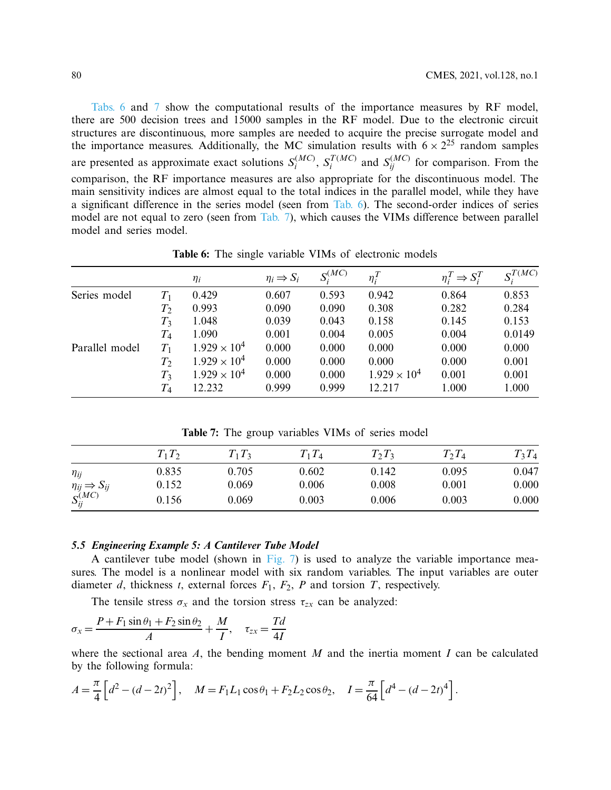[Tabs. 6](#page-15-0) and [7](#page-15-1) show the computational results of the importance measures by RF model, there are 500 decision trees and 15000 samples in the RF model. Due to the electronic circuit structures are discontinuous, more samples are needed to acquire the precise surrogate model and the importance measures. Additionally, the MC simulation results with  $6 \times 2^{25}$  random samples are presented as approximate exact solutions  $S_i^{(MC)}$ ,  $S_i^{T(MC)}$  and  $S_{ij}^{(MC)}$  for comparison. From the comparison, the RF importance measures are also appropriate for the discontinuous model. The main sensitivity indices are almost equal to the total indices in the parallel model, while they have a significant difference in the series model (seen from [Tab. 6\)](#page-15-0). The second-order indices of series model are not equal to zero (seen from [Tab. 7\)](#page-15-1), which causes the VIMs difference between parallel model and series model.

 $\eta_i \implies S_i \qquad S_i^{(MC)} \qquad \eta_i^T$ *i*  $\eta_i^T \Rightarrow S_i^T$  $S_i^T$  *S*<sup>*T*(*MC*)</sup> Series model *T*<sub>1</sub> 0.429 0.607 0.593 0.942 0.864 0.853 *T*<sup>2</sup> 0.993 0.090 0.090 0.308 0.282 0.284 *T*<sup>3</sup> 1.048 0.039 0.043 0.158 0.145 0.153 *T*<sup>4</sup> 1.090 0.001 0.004 0.005 0.004 0.0149 Parallel model  $T_1$   $1.929 \times 10^4$  0.000 0.000 0.000 0.000 0.000 0.000  $T_2$  1.929 × 10<sup>4</sup> 0.000 0.000 0.000 0.000 0.001  $T_3$  1.929 × 10<sup>4</sup> 0.000 0.000 1.929 × 10<sup>4</sup> 0.001 0.001 *T*<sup>4</sup> 12.232 0.999 0.999 12.217 1.000 1.000

<span id="page-15-0"></span>**Table 6:** The single variable VIMs of electronic models

<span id="page-15-1"></span>**Table 7:** The group variables VIMs of series model

|                                | $T_1T_2$ | $T_1T_3$ | $T_1T_4$ | $T_2T_3$ | $T_2T_4$ | $T_3T_4$ |
|--------------------------------|----------|----------|----------|----------|----------|----------|
| $\eta_{ij}$                    | 0.835    | 0.705    | 0.602    | 0.142    | 0.095    | 0.047    |
| $\eta_{ij} \Rightarrow S_{ij}$ | 0.152    | 0.069    | 0.006    | 0.008    | 0.001    | 0.000    |
| $S_{ij}^{(MC)}$                | 0.156    | 0.069    | 0.003    | 0.006    | 0.003    | 0.000    |

# *5.5 Engineering Example 5: A Cantilever Tube Model*

A cantilever tube model (shown in [Fig. 7\)](#page-16-0) is used to analyze the variable importance measures. The model is a nonlinear model with six random variables. The input variables are outer diameter *d*, thickness *t*, external forces *F*1, *F*2, *P* and torsion *T*, respectively.

The tensile stress  $\sigma_x$  and the torsion stress  $\tau_{zx}$  can be analyzed:

$$
\sigma_x = \frac{P + F_1 \sin \theta_1 + F_2 \sin \theta_2}{A} + \frac{M}{I}, \quad \tau_{zx} = \frac{Td}{4I}
$$

where the sectional area  $A$ , the bending moment  $M$  and the inertia moment  $I$  can be calculated by the following formula:

$$
A = \frac{\pi}{4} \left[ d^2 - (d - 2t)^2 \right], \quad M = F_1 L_1 \cos \theta_1 + F_2 L_2 \cos \theta_2, \quad I = \frac{\pi}{64} \left[ d^4 - (d - 2t)^4 \right].
$$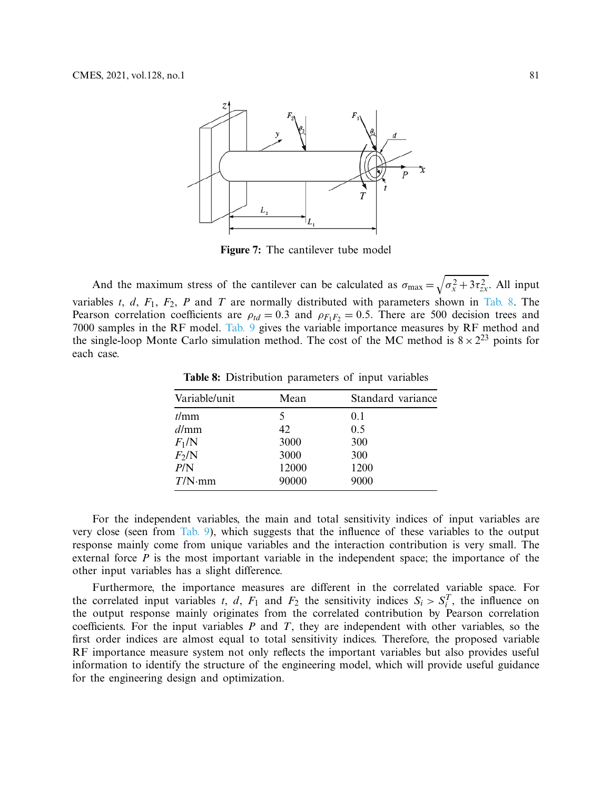

<span id="page-16-0"></span>**Figure 7:** The cantilever tube model

And the maximum stress of the cantilever can be calculated as  $\sigma_{\text{max}} = \sqrt{\sigma_x^2 + 3\tau_{zx}^2}$ . All input variables *t*, *d*,  $F_1$ ,  $F_2$ , *P* and *T* are normally distributed with parameters shown in [Tab. 8.](#page-16-1) The Pearson correlation coefficients are  $\rho_{td} = 0.3$  and  $\rho_{F_1F_2} = 0.5$ . There are 500 decision trees and 7000 samples in the RF model. [Tab. 9](#page-17-0) gives the variable importance measures by RF method and the single-loop Monte Carlo simulation method. The cost of the MC method is  $8 \times 2^{23}$  points for each case.

<span id="page-16-1"></span>**Table 8:** Distribution parameters of input variables

| Variable/unit | Mean  | Standard variance |
|---------------|-------|-------------------|
| t/mm          | 5     | 0.1               |
| d/mm          | 42    | 0.5               |
| $F_1/N$       | 3000  | 300               |
| $F_2/N$       | 3000  | 300               |
| P/N           | 12000 | 1200              |
| $T/N$ ·mm     | 90000 | 9000              |

For the independent variables, the main and total sensitivity indices of input variables are very close (seen from [Tab. 9\)](#page-17-0), which suggests that the influence of these variables to the output response mainly come from unique variables and the interaction contribution is very small. The external force *P* is the most important variable in the independent space; the importance of the other input variables has a slight difference.

Furthermore, the importance measures are different in the correlated variable space. For the correlated input variables *t*, *d*,  $F_1$  and  $F_2$  the sensitivity indices  $S_i > S_i^T$ , the influence on the output response mainly originates from the correlated contribution by Pearson correlation coefficients. For the input variables *P* and *T*, they are independent with other variables, so the first order indices are almost equal to total sensitivity indices. Therefore, the proposed variable RF importance measure system not only reflects the important variables but also provides useful information to identify the structure of the engineering model, which will provide useful guidance for the engineering design and optimization.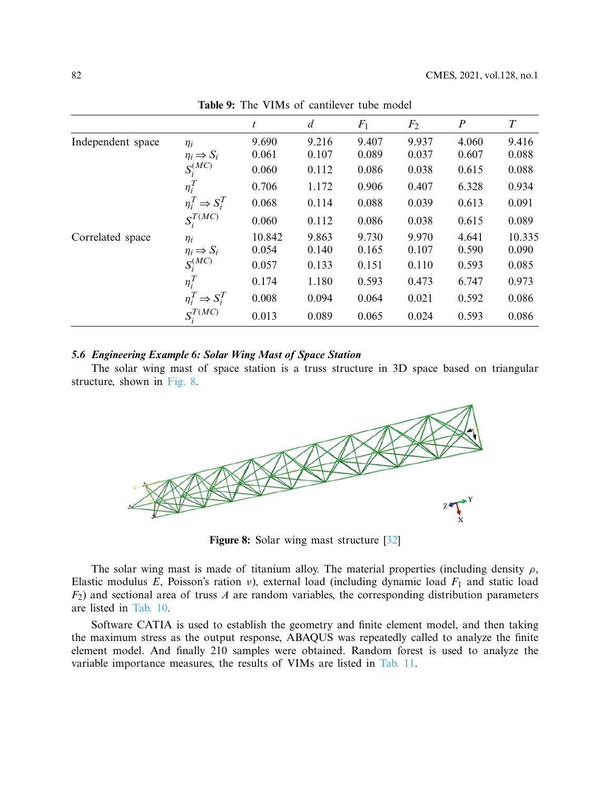|                   |                              | t      | $\overline{d}$ | $F_1$ | F <sub>2</sub> | $\boldsymbol{P}$ | $\boldsymbol{T}$ |
|-------------------|------------------------------|--------|----------------|-------|----------------|------------------|------------------|
| Independent space | $\eta_i$                     | 9.690  | 9.216          | 9.407 | 9.937          | 4.060            | 9.416            |
|                   | $\eta_i \Rightarrow S_i$     | 0.061  | 0.107          | 0.089 | 0.037          | 0.607            | 0.088            |
|                   | $S_i^{(MC)}$                 | 0.060  | 0.112          | 0.086 | 0.038          | 0.615            | 0.088            |
|                   | $\eta_i^T$                   | 0.706  | 1.172          | 0.906 | 0.407          | 6.328            | 0.934            |
|                   | $\eta_i^T \Rightarrow S_i^T$ | 0.068  | 0.114          | 0.088 | 0.039          | 0.613            | 0.091            |
|                   | $S_i^{T(MC)}$                | 0.060  | 0.112          | 0.086 | 0.038          | 0.615            | 0.089            |
| Correlated space  | $n_i$                        | 10.842 | 9.863          | 9.730 | 9.970          | 4.641            | 10.335           |
|                   | $\eta_i \Rightarrow S_i$     | 0.054  | 0.140          | 0.165 | 0.107          | 0.590            | 0.090            |
|                   | $S_i^{(\overbrace{MC})}$     | 0.057  | 0.133          | 0.151 | 0.110          | 0.593            | 0.085            |
|                   | $\eta_i^T$                   | 0.174  | 1.180          | 0.593 | 0.473          | 6.747            | 0.973            |
|                   | $\eta_i^T \Rightarrow S_i^T$ | 0.008  | 0.094          | 0.064 | 0.021          | 0.592            | 0.086            |
|                   | $S_i^{T(MC)}$                | 0.013  | 0.089          | 0.065 | 0.024          | 0.593            | 0.086            |

<span id="page-17-0"></span>**Table 9:** The VIMs of cantilever tube model

#### *5.6 Engineering Example 6: Solar Wing Mast of Space Station*

The solar wing mast of space station is a truss structure in 3D space based on triangular structure, shown in [Fig. 8.](#page-17-1)



<span id="page-17-1"></span>**Figure 8:** Solar wing mast structure [\[32\]](#page-20-13)

The solar wing mast is made of titanium alloy. The material properties (including density  $\rho$ , Elastic modulus *E*, Poisson's ration ν), external load (including dynamic load *F*<sup>1</sup> and static load *F*2) and sectional area of truss *A* are random variables, the corresponding distribution parameters are listed in [Tab. 10.](#page-18-0)

Software CATIA is used to establish the geometry and finite element model, and then taking the maximum stress as the output response, ABAQUS was repeatedly called to analyze the finite element model. And finally 210 samples were obtained. Random forest is used to analyze the variable importance measures, the results of VIMs are listed in [Tab. 11.](#page-18-1)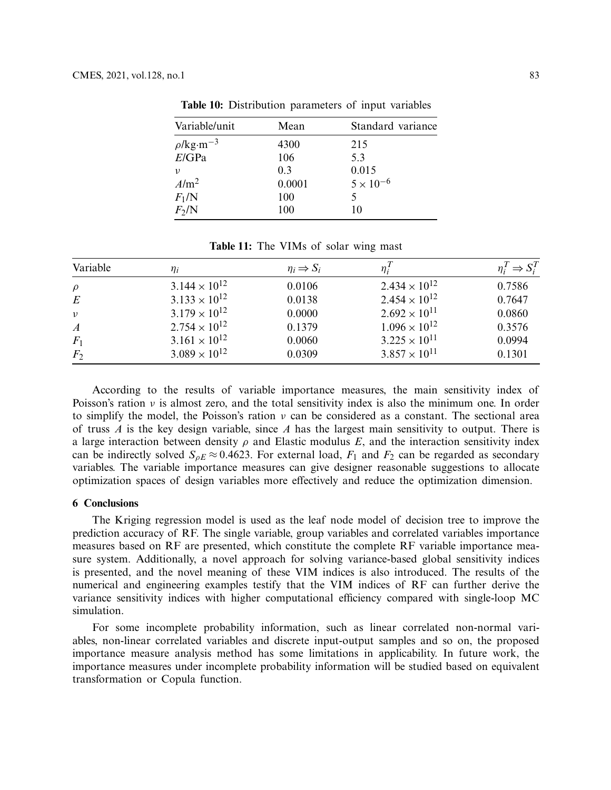| Variable/unit              | Mean   | Standard variance  |
|----------------------------|--------|--------------------|
| $\rho$ /kg·m <sup>-3</sup> | 4300   | 215                |
| E/GPa                      | 106    | 5.3                |
| ν                          | 0.3    | 0.015              |
| $A/m^2$                    | 0.0001 | $5 \times 10^{-6}$ |
| $F_1/N$                    | 100    |                    |
| $F_2/N$                    | 100    | 10                 |

<span id="page-18-0"></span>**Table 10:** Distribution parameters of input variables

<span id="page-18-1"></span>**Table 11:** The VIMs of solar wing mast

| Variable         | $\eta_i$               | $\eta_i \Rightarrow S_i$ | $\eta_i^I$             | $\eta_i^T \Rightarrow S_i^T$ |
|------------------|------------------------|--------------------------|------------------------|------------------------------|
| $\rho$           | $3.144 \times 10^{12}$ | 0.0106                   | $2.434 \times 10^{12}$ | 0.7586                       |
| E                | $3.133 \times 10^{12}$ | 0.0138                   | $2.454 \times 10^{12}$ | 0.7647                       |
| $\upsilon$       | $3.179 \times 10^{12}$ | 0.0000                   | $2.692 \times 10^{11}$ | 0.0860                       |
| $\boldsymbol{A}$ | $2.754 \times 10^{12}$ | 0.1379                   | $1.096 \times 10^{12}$ | 0.3576                       |
| $F_1$            | $3.161 \times 10^{12}$ | 0.0060                   | $3.225 \times 10^{11}$ | 0.0994                       |
| F <sub>2</sub>   | $3.089 \times 10^{12}$ | 0.0309                   | $3.857 \times 10^{11}$ | 0.1301                       |

According to the results of variable importance measures, the main sensitivity index of Poisson's ration  $\nu$  is almost zero, and the total sensitivity index is also the minimum one. In order to simplify the model, the Poisson's ration  $\nu$  can be considered as a constant. The sectional area of truss *A* is the key design variable, since *A* has the largest main sensitivity to output. There is a large interaction between density  $\rho$  and Elastic modulus  $E$ , and the interaction sensitivity index can be indirectly solved  $S_{oE} \approx 0.4623$ . For external load,  $F_1$  and  $F_2$  can be regarded as secondary variables. The variable importance measures can give designer reasonable suggestions to allocate optimization spaces of design variables more effectively and reduce the optimization dimension.

# **6 Conclusions**

The Kriging regression model is used as the leaf node model of decision tree to improve the prediction accuracy of RF. The single variable, group variables and correlated variables importance measures based on RF are presented, which constitute the complete RF variable importance measure system. Additionally, a novel approach for solving variance-based global sensitivity indices is presented, and the novel meaning of these VIM indices is also introduced. The results of the numerical and engineering examples testify that the VIM indices of RF can further derive the variance sensitivity indices with higher computational efficiency compared with single-loop MC simulation.

For some incomplete probability information, such as linear correlated non-normal variables, non-linear correlated variables and discrete input-output samples and so on, the proposed importance measure analysis method has some limitations in applicability. In future work, the importance measures under incomplete probability information will be studied based on equivalent transformation or Copula function.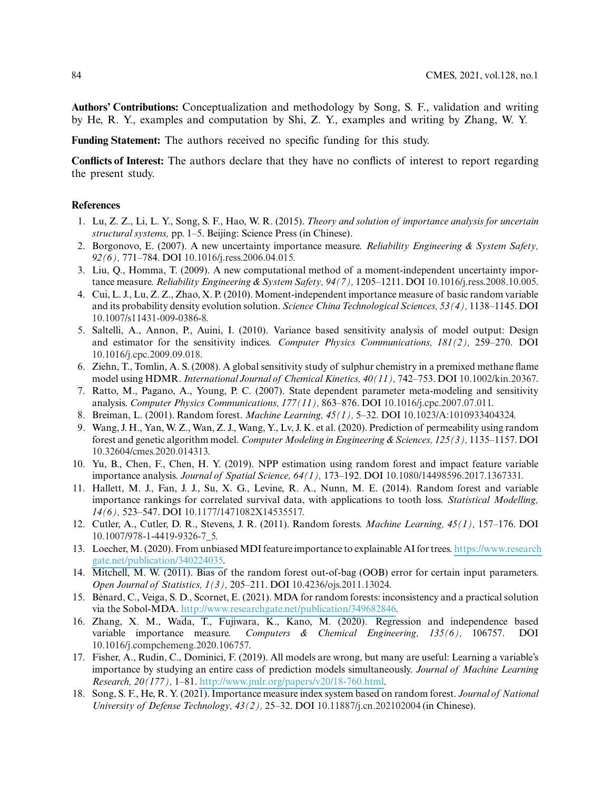**Authors' Contributions:** Conceptualization and methodology by Song, S. F., validation and writing by He, R. Y., examples and computation by Shi, Z. Y., examples and writing by Zhang, W. Y.

**Funding Statement:** The authors received no specific funding for this study.

**Conflicts of Interest:** The authors declare that they have no conflicts of interest to report regarding the present study.

# **References**

- <span id="page-19-0"></span>1. Lu, Z. Z., Li, L. Y., Song, S. F., Hao, W. R. (2015). *Theory and solution of importance analysis for uncertain structural systems,* pp. 1–5. Beijing: Science Press (in Chinese).
- <span id="page-19-1"></span>2. Borgonovo, E. (2007). A new uncertainty importance measure. *Reliability Engineering & System Safety, 92(6),* 771–784. DOI [10.1016/j.ress.2006.04.015.](http://dx.doi.org/10.1016/j.ress.2006.04.015)
- 3. Liu, Q., Homma, T. (2009). A new computational method of a moment-independent uncertainty importance measure. *Reliability Engineering & System Safety, 94(7),* 1205–1211. DOI [10.1016/j.ress.2008.10.005.](http://dx.doi.org/10.1016/j.ress.2008.10.005)
- <span id="page-19-2"></span>4. Cui, L. J., Lu, Z. Z., Zhao, X. P. (2010). Moment-independent importance measure of basic random variable and its probability density evolution solution. *Science China Technological Sciences, 53(4),* 1138–1145. DOI [10.1007/s11431-009-0386-8.](http://dx.doi.org/10.1007/s11431-009-0386-8)
- <span id="page-19-3"></span>5. Saltelli, A., Annon, P., Auini, I. (2010). Variance based sensitivity analysis of model output: Design and estimator for the sensitivity indices. *Computer Physics Communications, 181(2),* 259–270. DOI [10.1016/j.cpc.2009.09.018.](http://dx.doi.org/10.1016/j.cpc.2009.09.018)
- <span id="page-19-4"></span>6. Ziehn, T., Tomlin, A. S. (2008). A global sensitivity study of sulphur chemistry in a premixed methane flame model using HDMR. *International Journal of Chemical Kinetics, 40(11),* 742–753. DOI [10.1002/kin.20367.](http://dx.doi.org/10.1002/kin.20367)
- <span id="page-19-5"></span>7. Ratto, M., Pagano, A., Young, P. C. (2007). State dependent parameter meta-modeling and sensitivity analysis. *Computer Physics Communications, 177(11),* 863–876. DOI [10.1016/j.cpc.2007.07.011.](http://dx.doi.org/10.1016/j.cpc.2007.07.011)
- <span id="page-19-6"></span>8. Breiman, L. (2001). Random forest. *Machine Learning, 45(1),* 5–32. DOI [10.1023/A:1010933404324.](http://dx.doi.org/10.1023/A:1010933404324)
- <span id="page-19-7"></span>9. Wang, J. H., Yan, W. Z., Wan, Z. J., Wang, Y., Lv, J. K. et al. (2020). Prediction of permeability using random forest and genetic algorithm model. *Computer Modeling in Engineering & Sciences, 125(3),* 1135–1157. DOI [10.32604/cmes.2020.014313.](http://dx.doi.org/10.32604/cmes.2020.014313)
- <span id="page-19-8"></span>10. Yu, B., Chen, F., Chen, H. Y. (2019). NPP estimation using random forest and impact feature variable importance analysis. *Journal of Spatial Science, 64(1),* 173–192. DOI [10.1080/14498596.2017.1367331.](http://dx.doi.org/10.1080/14498596.2017.1367331)
- <span id="page-19-9"></span>11. Hallett, M. J., Fan, J. J., Su, X. G., Levine, R. A., Nunn, M. E. (2014). Random forest and variable importance rankings for correlated survival data, with applications to tooth loss. *Statistical Modelling, 14(6),* 523–547. DOI [10.1177/1471082X14535517.](http://dx.doi.org/10.1177/1471082X14535517)
- <span id="page-19-10"></span>12. Cutler, A., Cutler, D. R., Stevens, J. R. (2011). Random forests. *Machine Learning, 45(1),* 157–176. DOI [10.1007/978-1-4419-9326-7\\_5.](http://dx.doi.org/10.1007/978-1-4419-9326-7_5)
- <span id="page-19-11"></span>13. Loecher, M. (2020). From unbiasedMDI feature importance to explainable AI for trees. [https://www.research](https://www.researchgate.net/publication/340224035) [gate.net/publication/340224035.](https://www.researchgate.net/publication/340224035)
- <span id="page-19-12"></span>14. Mitchell, M. W. (2011). Bias of the random forest out-of-bag (OOB) error for certain input parameters. *Open Journal of Statistics, 1(3),* 205–211. DOI [10.4236/ojs.2011.13024.](http://dx.doi.org/10.4236/ojs.2011.13024)
- <span id="page-19-13"></span>15. Bénard, C., Veiga, S. D., Scornet, E. (2021). MDA for random forests: inconsistency and a practical solution via the Sobol-MDA. [http://www.researchgate.net/publication/349682846.](http://www.researchgate.net/publication/349682846)
- <span id="page-19-14"></span>16. Zhang, X. M., Wada, T., Fujiwara, K., Kano, M. (2020). Regression and independence based variable importance measure. *Computers & Chemical Engineering, 135(6),* 106757. DOI [10.1016/j.compchemeng.2020.106757.](http://dx.doi.org/10.1016/j.compchemeng.2020.106757)
- <span id="page-19-15"></span>17. Fisher, A., Rudin, C., Dominici, F. (2019). All models are wrong, but many are useful: Learning a variable's importance by studying an entire cass of prediction models simultaneously. *Journal of Machine Learning Research, 20(177),* 1–81. [http://www.jmlr.org/papers/v20/18-760.html.](http://www.jmlr.org/papers/v20/18-760.html)
- <span id="page-19-16"></span>18. Song, S. F., He, R. Y. (2021). Importance measure index system based on random forest. *Journal of National University of Defense Technology, 43(2),* 25–32. DOI [10.11887/j.cn.202102004](http://dx.doi.org/10.11887/j.cn.202102004) (in Chinese).